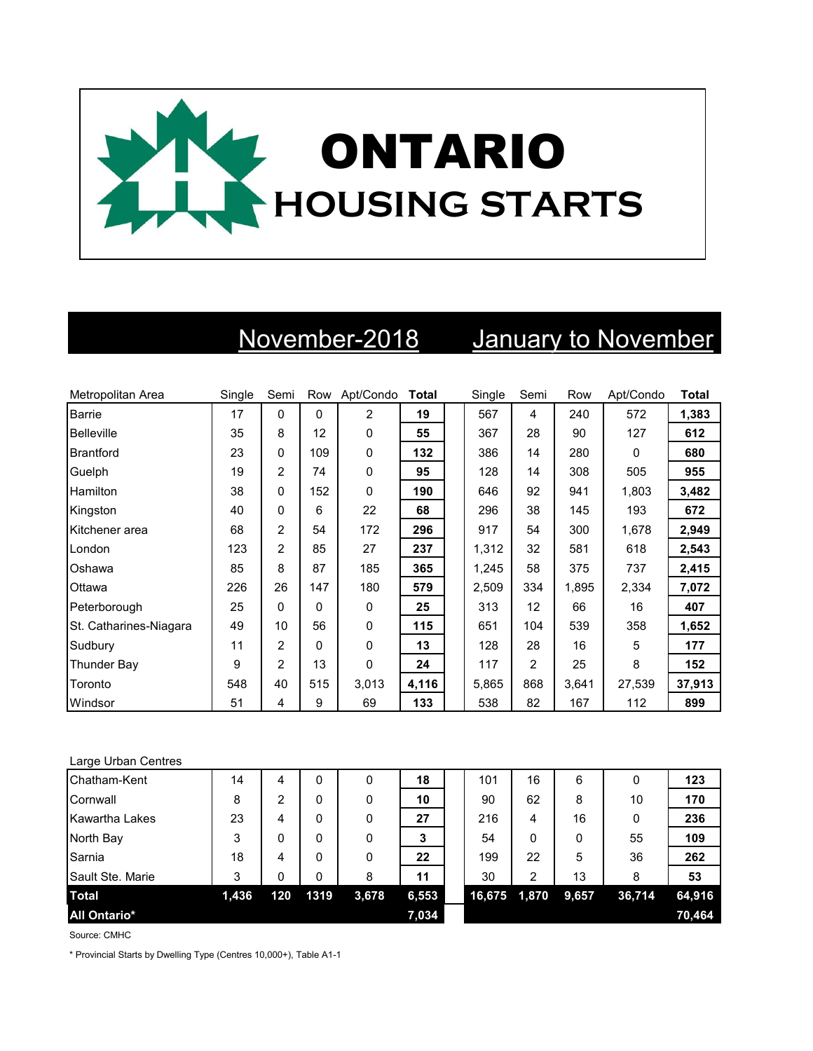

## November-2018 January to November

| Metropolitan Area      | Single | Semi           |          | Row Apt/Condo | <b>Total</b> | Single | Semi           | Row   | Apt/Condo | <b>Total</b> |
|------------------------|--------|----------------|----------|---------------|--------------|--------|----------------|-------|-----------|--------------|
| <b>Barrie</b>          | 17     | 0              | $\Omega$ | 2             | 19           | 567    | 4              | 240   | 572       | 1,383        |
| <b>Belleville</b>      | 35     | 8              | 12       | 0             | 55           | 367    | 28             | 90    | 127       | 612          |
| Brantford              | 23     | 0              | 109      | 0             | 132          | 386    | 14             | 280   | 0         | 680          |
| Guelph                 | 19     | 2              | 74       | 0             | 95           | 128    | 14             | 308   | 505       | 955          |
| Hamilton               | 38     | 0              | 152      | 0             | 190          | 646    | 92             | 941   | 1,803     | 3,482        |
| Kingston               | 40     | 0              | 6        | 22            | 68           | 296    | 38             | 145   | 193       | 672          |
| Kitchener area         | 68     | 2              | 54       | 172           | 296          | 917    | 54             | 300   | 1,678     | 2,949        |
| London                 | 123    | 2              | 85       | 27            | 237          | 1,312  | 32             | 581   | 618       | 2,543        |
| Oshawa                 | 85     | 8              | 87       | 185           | 365          | 1,245  | 58             | 375   | 737       | 2,415        |
| Ottawa                 | 226    | 26             | 147      | 180           | 579          | 2,509  | 334            | 1,895 | 2,334     | 7,072        |
| Peterborough           | 25     | $\Omega$       | $\Omega$ | $\Omega$      | 25           | 313    | 12             | 66    | 16        | 407          |
| St. Catharines-Niagara | 49     | 10             | 56       | 0             | 115          | 651    | 104            | 539   | 358       | 1,652        |
| Sudbury                | 11     | 2              | $\Omega$ | 0             | 13           | 128    | 28             | 16    | 5         | 177          |
| <b>Thunder Bay</b>     | 9      | $\overline{2}$ | 13       | 0             | 24           | 117    | $\overline{2}$ | 25    | 8         | 152          |
| Toronto                | 548    | 40             | 515      | 3,013         | 4,116        | 5.865  | 868            | 3,641 | 27,539    | 37,913       |
| Windsor                | 51     | 4              | 9        | 69            | 133          | 538    | 82             | 167   | 112       | 899          |

## Large Urban Centres

| Chatham-Kent            | 14    | 4   | 0    | 0     | 18    | 101    | 16    | 6     |        | 123    |
|-------------------------|-------|-----|------|-------|-------|--------|-------|-------|--------|--------|
| Cornwall                | 8     | 2   | 0    | 0     | 10    | 90     | 62    | 8     | 10     | 170    |
| Kawartha Lakes          | 23    | 4   | 0    | 0     | 27    | 216    | 4     | 16    |        | 236    |
| North Bay               | 3     | 0   | 0    | 0     | 3     | 54     | 0     | 0     | 55     | 109    |
| Sarnia                  | 18    | 4   | 0    | 0     | 22    | 199    | 22    | 5     | 36     | 262    |
| <b>Sault Ste. Marie</b> | 3     | 0   | 0    | 8     | 11    | 30     | 2     | 13    | 8      | 53     |
| <b>Total</b>            | 1,436 | 120 | 1319 | 3,678 | 6,553 | 16,675 | 1,870 | 9,657 | 36,714 | 64,916 |
| <b>All Ontario*</b>     |       |     |      |       | 7,034 |        |       |       |        | 70,464 |

Source: CMHC

\* Provincial Starts by Dwelling Type (Centres 10,000+), Table A1-1